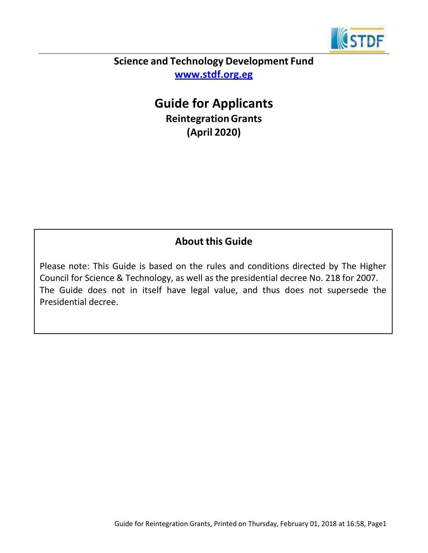

# **Science and Technology Development Fund [www.stdf.org.eg](http://www.stdf.org.eg/)**

# **Guide for Applicants ReintegrationGrants (April 2020)**

# **About this Guide**

Please note: This Guide is based on the rules and conditions directed by The Higher Council for Science & Technology, as well as the presidential decree No. 218 for 2007. The Guide does not in itself have legal value, and thus does not supersede the Presidential decree.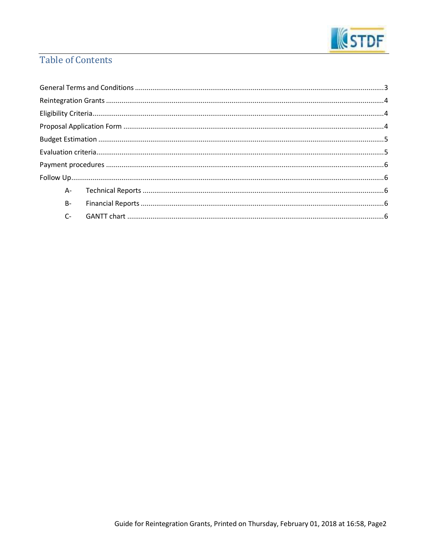

# **Table of Contents**

|  | $B -$ |  |  |
|--|-------|--|--|
|  |       |  |  |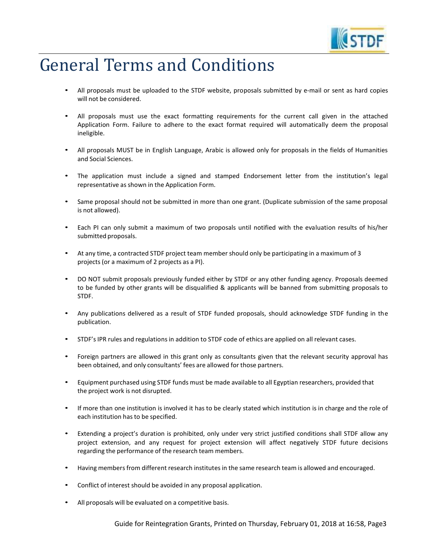

# <span id="page-2-0"></span>General Terms and Conditions

- All proposals must be uploaded to the STDF website, proposals submitted by e-mail or sent as hard copies will not be considered.
- All proposals must use the exact formatting requirements for the current call given in the attached Application Form. Failure to adhere to the exact format required will automatically deem the proposal ineligible.
- All proposals MUST be in English Language, Arabic is allowed only for proposals in the fields of Humanities and Social Sciences.
- The application must include a signed and stamped Endorsement letter from the institution's legal representative as shown in the Application Form.
- Same proposal should not be submitted in more than one grant. (Duplicate submission of the same proposal is not allowed).
- Each PI can only submit a maximum of two proposals until notified with the evaluation results of his/her submitted proposals.
- At any time, a contracted STDF project team member should only be participating in a maximum of 3 projects (or a maximum of 2 projects as a PI).
- DO NOT submit proposals previously funded either by STDF or any other funding agency. Proposals deemed to be funded by other grants will be disqualified & applicants will be banned from submitting proposals to STDF.
- Any publications delivered as a result of STDF funded proposals, should acknowledge STDF funding in the publication.
- STDF'sIPR rules and regulationsin addition to STDF code of ethics are applied on all relevant cases.
- Foreign partners are allowed in this grant only as consultants given that the relevant security approval has been obtained, and only consultants' fees are allowed for those partners.
- Equipment purchased using STDF funds must be made available to all Egyptian researchers, provided that the project work is not disrupted.
- If more than one institution is involved it has to be clearly stated which institution is in charge and the role of each institution has to be specified.
- Extending a project's duration is prohibited, only under very strict justified conditions shall STDF allow any project extension, and any request for project extension will affect negatively STDF future decisions regarding the performance of the research team members.
- Having membersfrom different research institutesin the same research team is allowed and encouraged.
- Conflict of interest should be avoided in any proposal application.
- All proposals will be evaluated on a competitive basis.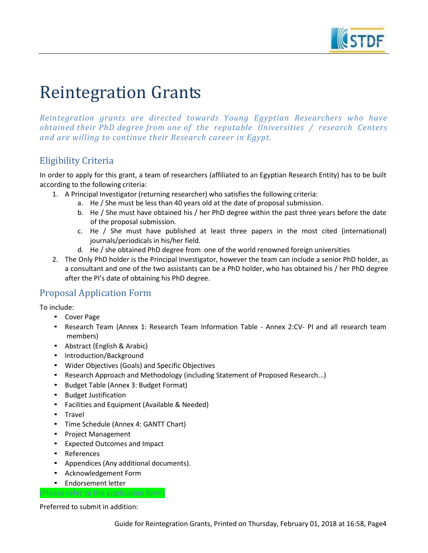

# <span id="page-3-0"></span>Reintegration Grants

*Reintegration grants are directed towards Young Egyptian Researchers who have obtained their PhD degree from one of the reputable Universities / research Centers and are willing to continue their Research career in Egypt.*

# <span id="page-3-1"></span>Eligibility Criteria

In order to apply for this grant, a team of researchers (affiliated to an Egyptian Research Entity) has to be built according to the following criteria:

- 1. A Principal Investigator (returning researcher) who satisfies the following criteria:
	- a. He / She must be less than 40 years old at the date of proposal submission.
	- b. He / She must have obtained his / her PhD degree within the past three years before the date of the proposal submission.
	- c. He / She must have published at least three papers in the most cited (international) journals/periodicals in his/her field.
	- d. He / she obtained PhD degree from one of the world renowned foreign universities
	- 2. The Only PhD holder is the Principal Investigator, however the team can include a senior PhD holder, as a consultant and one of the two assistants can be a PhD holder, who has obtained his / her PhD degree after the PI's date of obtaining his PhD degree.

## <span id="page-3-2"></span>Proposal Application Form

To include:

- Cover Page
- Research Team (Annex 1: Research Team Information Table Annex 2:CV- PI and all research team members)
- Abstract (English & Arabic)
- Introduction/Background
- Wider Objectives (Goals) and Specific Objectives
- Research Approach and Methodology (including Statement of Proposed Research...)
- Budget Table (Annex 3: Budget Format)
- Budget Justification
- Facilities and Equipment (Available & Needed)
- Travel
- Time Schedule (Annex 4: GANTT Chart)
- Project Management
- Expected Outcomes and Impact
- References
- Appendices (Any additional documents).
- Acknowledgement Form

(Please refer to the application form)

• Endorsement letter

#### Preferred to submit in addition: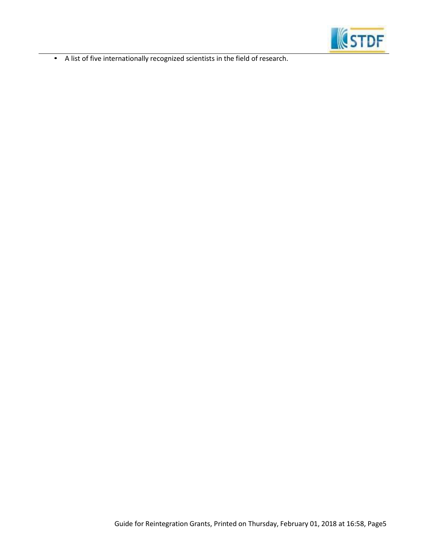

• A list of five internationally recognized scientists in the field of research.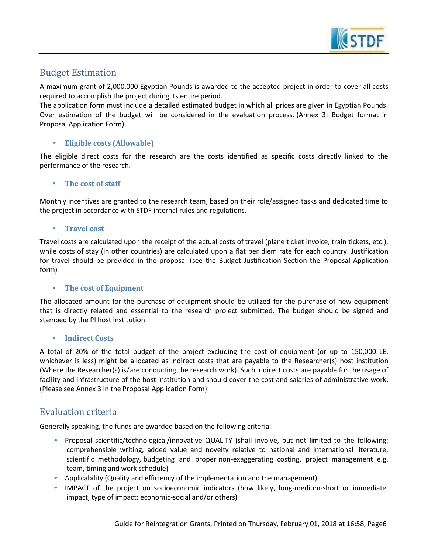

## <span id="page-5-0"></span>Budget Estimation

A maximum grant of 2,000,000 Egyptian Pounds is awarded to the accepted project in order to cover all costs required to accomplish the project during its entire period.

The application form must include a detailed estimated budget in which all prices are given in Egyptian Pounds. Over estimation of the budget will be considered in the evaluation process. (Annex 3: Budget format in Proposal Application Form).

#### • **Eligible costs (Allowable)**

The eligible direct costs for the research are the costs identified as specific costs directly linked to the performance of the research.

#### • **The cost of staff**

Monthly incentives are granted to the research team, based on their role/assigned tasks and dedicated time to the project in accordance with STDF internal rules and regulations.

#### • **Travel cost**

Travel costs are calculated upon the receipt of the actual costs of travel (plane ticket invoice, train tickets, etc.), while costs of stay (in other countries) are calculated upon a flat per diem rate for each country. Justification for travel should be provided in the proposal (see the Budget Justification Section the Proposal Application form)

#### • **The cost of Equipment**

The allocated amount for the purchase of equipment should be utilized for the purchase of new equipment that is directly related and essential to the research project submitted. The budget should be signed and stamped by the PI host institution.

#### • **Indirect Costs**

A total of 20% of the total budget of the project excluding the cost of equipment (or up to 150,000 LE, whichever is less) might be allocated as indirect costs that are payable to the Researcher(s) host institution (Where the Researcher(s) is/are conducting the research work). Such indirect costs are payable for the usage of facility and infrastructure of the host institution and should cover the cost and salaries of administrative work. (Please see Annex 3 in the Proposal Application Form)

## <span id="page-5-1"></span>Evaluation criteria

Generally speaking, the funds are awarded based on the following criteria:

- Proposal scientific/technological/innovative QUALITY (shall involve, but not limited to the following: comprehensible writing, added value and novelty relative to national and international literature, scientific methodology, budgeting and proper non-exaggerating costing, project management e.g. team, timing and work schedule)
- Applicability (Quality and efficiency of the implementation and the management)
- IMPACT of the project on socioeconomic indicators (how likely, long-medium-short or immediate impact, type of impact: economic-social and/or others)